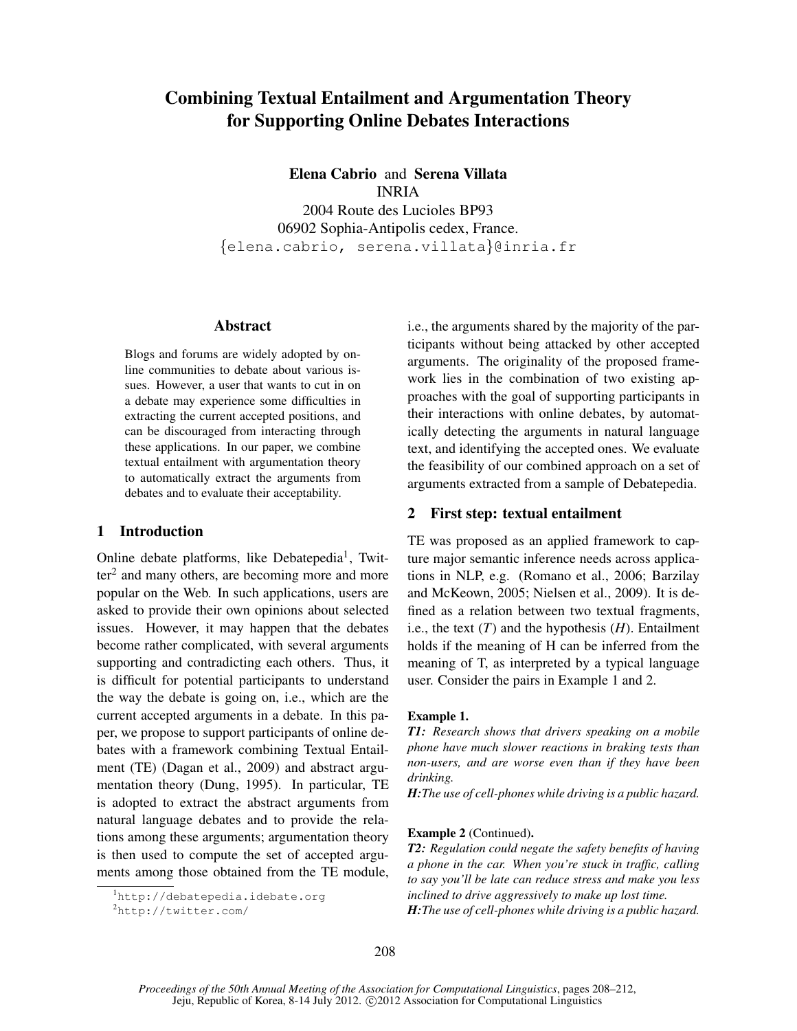# Combining Textual Entailment and Argumentation Theory for Supporting Online Debates Interactions

Elena Cabrio and Serena Villata INRIA 2004 Route des Lucioles BP93 06902 Sophia-Antipolis cedex, France. {elena.cabrio, serena.villata}@inria.fr

#### Abstract

Blogs and forums are widely adopted by online communities to debate about various issues. However, a user that wants to cut in on a debate may experience some difficulties in extracting the current accepted positions, and can be discouraged from interacting through these applications. In our paper, we combine textual entailment with argumentation theory to automatically extract the arguments from debates and to evaluate their acceptability.

# 1 Introduction

Online debate platforms, like Debatepedia<sup>1</sup>, Twit $ter<sup>2</sup>$  and many others, are becoming more and more popular on the Web. In such applications, users are asked to provide their own opinions about selected issues. However, it may happen that the debates become rather complicated, with several arguments supporting and contradicting each others. Thus, it is difficult for potential participants to understand the way the debate is going on, i.e., which are the current accepted arguments in a debate. In this paper, we propose to support participants of online debates with a framework combining Textual Entailment (TE) (Dagan et al., 2009) and abstract argumentation theory (Dung, 1995). In particular, TE is adopted to extract the abstract arguments from natural language debates and to provide the relations among these arguments; argumentation theory is then used to compute the set of accepted arguments among those obtained from the TE module,

i.e., the arguments shared by the majority of the participants without being attacked by other accepted arguments. The originality of the proposed framework lies in the combination of two existing approaches with the goal of supporting participants in their interactions with online debates, by automatically detecting the arguments in natural language text, and identifying the accepted ones. We evaluate the feasibility of our combined approach on a set of arguments extracted from a sample of Debatepedia.

### 2 First step: textual entailment

TE was proposed as an applied framework to capture major semantic inference needs across applications in NLP, e.g. (Romano et al., 2006; Barzilay and McKeown, 2005; Nielsen et al., 2009). It is defined as a relation between two textual fragments, i.e., the text  $(T)$  and the hypothesis  $(H)$ . Entailment holds if the meaning of H can be inferred from the meaning of T, as interpreted by a typical language user. Consider the pairs in Example 1 and 2.

#### Example 1.

*T1: Research shows that drivers speaking on a mobile phone have much slower reactions in braking tests than non-users, and are worse even than if they have been drinking.*

*H:The use of cell-phones while driving is a public hazard.*

#### Example 2 (Continued).

*T2: Regulation could negate the safety benefits of having a phone in the car. When you're stuck in traffic, calling to say you'll be late can reduce stress and make you less inclined to drive aggressively to make up lost time. H:The use of cell-phones while driving is a public hazard.*

<sup>1</sup>http://debatepedia.idebate.org

<sup>2</sup>http://twitter.com/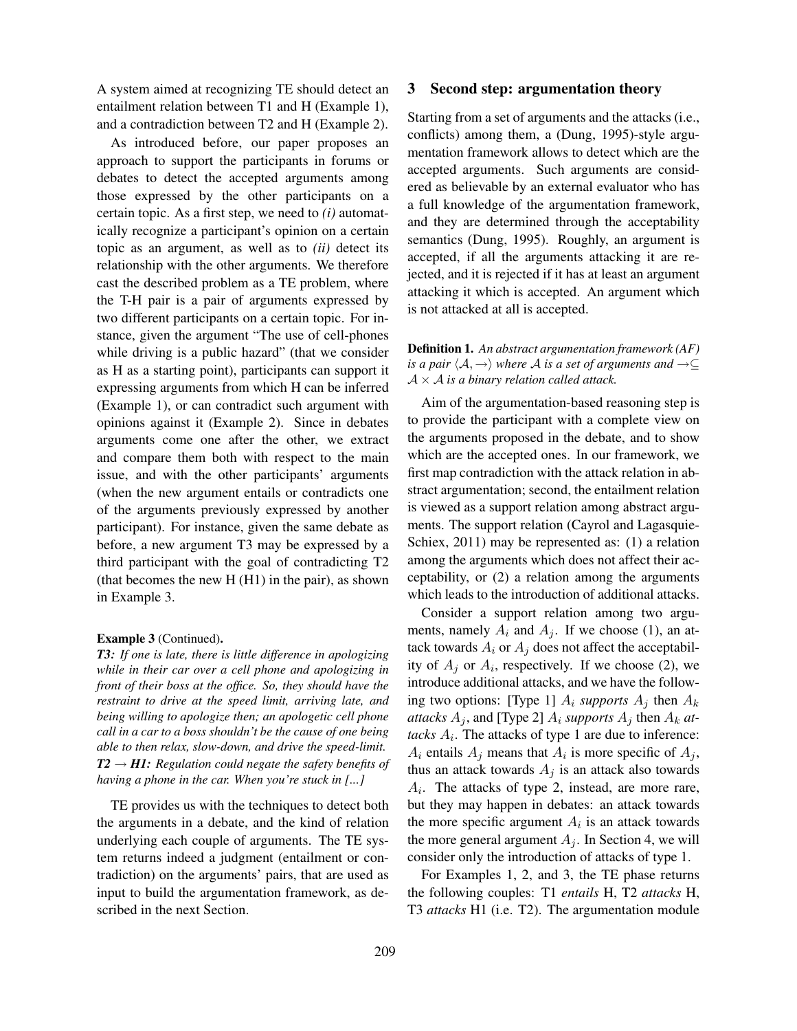A system aimed at recognizing TE should detect an entailment relation between T1 and H (Example 1), and a contradiction between T2 and H (Example 2).

As introduced before, our paper proposes an approach to support the participants in forums or debates to detect the accepted arguments among those expressed by the other participants on a certain topic. As a first step, we need to *(i)* automatically recognize a participant's opinion on a certain topic as an argument, as well as to *(ii)* detect its relationship with the other arguments. We therefore cast the described problem as a TE problem, where the T-H pair is a pair of arguments expressed by two different participants on a certain topic. For instance, given the argument "The use of cell-phones while driving is a public hazard" (that we consider as H as a starting point), participants can support it expressing arguments from which H can be inferred (Example 1), or can contradict such argument with opinions against it (Example 2). Since in debates arguments come one after the other, we extract and compare them both with respect to the main issue, and with the other participants' arguments (when the new argument entails or contradicts one of the arguments previously expressed by another participant). For instance, given the same debate as before, a new argument T3 may be expressed by a third participant with the goal of contradicting T2 (that becomes the new H (H1) in the pair), as shown in Example 3.

#### Example 3 (Continued).

*T3: If one is late, there is little difference in apologizing while in their car over a cell phone and apologizing in front of their boss at the office. So, they should have the restraint to drive at the speed limit, arriving late, and being willing to apologize then; an apologetic cell phone call in a car to a boss shouldn't be the cause of one being able to then relax, slow-down, and drive the speed-limit.*  $T2 \rightarrow H1$ : Regulation could negate the safety benefits of *having a phone in the car. When you're stuck in [...]*

TE provides us with the techniques to detect both the arguments in a debate, and the kind of relation underlying each couple of arguments. The TE system returns indeed a judgment (entailment or contradiction) on the arguments' pairs, that are used as input to build the argumentation framework, as described in the next Section.

#### 3 Second step: argumentation theory

Starting from a set of arguments and the attacks (i.e., conflicts) among them, a (Dung, 1995)-style argumentation framework allows to detect which are the accepted arguments. Such arguments are considered as believable by an external evaluator who has a full knowledge of the argumentation framework, and they are determined through the acceptability semantics (Dung, 1995). Roughly, an argument is accepted, if all the arguments attacking it are rejected, and it is rejected if it has at least an argument attacking it which is accepted. An argument which is not attacked at all is accepted.

Definition 1. *An abstract argumentation framework (AF) is a pair*  $\langle A, \rightarrow \rangle$  *where* A *is a set of arguments and*  $\rightarrow \subseteq$  $A \times A$  *is a binary relation called attack.* 

Aim of the argumentation-based reasoning step is to provide the participant with a complete view on the arguments proposed in the debate, and to show which are the accepted ones. In our framework, we first map contradiction with the attack relation in abstract argumentation; second, the entailment relation is viewed as a support relation among abstract arguments. The support relation (Cayrol and Lagasquie-Schiex, 2011) may be represented as: (1) a relation among the arguments which does not affect their acceptability, or (2) a relation among the arguments which leads to the introduction of additional attacks.

Consider a support relation among two arguments, namely  $A_i$  and  $A_j$ . If we choose (1), an attack towards  $A_i$  or  $A_j$  does not affect the acceptability of  $A_j$  or  $A_i$ , respectively. If we choose (2), we introduce additional attacks, and we have the following two options: [Type 1]  $A_i$  *supports*  $A_j$  then  $A_k$ *attacks*  $A_j$ , and [Type 2]  $A_i$  *supports*  $A_j$  then  $A_k$  *at*tacks  $A_i$ . The attacks of type 1 are due to inference:  $A_i$  entails  $A_j$  means that  $A_i$  is more specific of  $A_j$ , thus an attack towards  $A_j$  is an attack also towards  $A_i$ . The attacks of type 2, instead, are more rare, but they may happen in debates: an attack towards the more specific argument  $A_i$  is an attack towards the more general argument  $A_i$ . In Section 4, we will consider only the introduction of attacks of type 1.

For Examples 1, 2, and 3, the TE phase returns the following couples: T1 *entails* H, T2 *attacks* H, T3 *attacks* H1 (i.e. T2). The argumentation module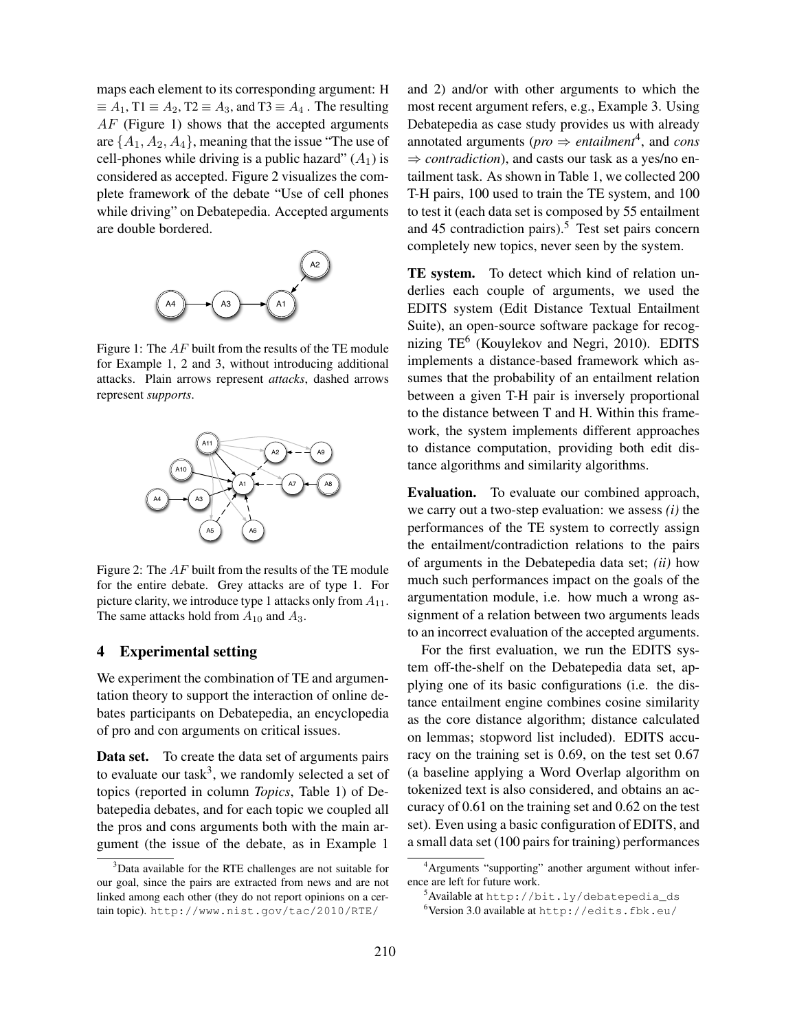maps each element to its corresponding argument: H  $\equiv A_1$ , T1  $\equiv A_2$ , T2  $\equiv A_3$ , and T3  $\equiv A_4$ . The resulting  $AF$  (Figure 1) shows that the accepted arguments are  $\{A_1, A_2, A_4\}$ , meaning that the issue "The use of cell-phones while driving is a public hazard"  $(A_1)$  is considered as accepted. Figure 2 visualizes the complete framework of the debate "Use of cell phones while driving" on Debatepedia. Accepted arguments are double bordered.



Figure 1: The AF built from the results of the TE module for Example 1, 2 and 3, without introducing additional attacks. Plain arrows represent *attacks*, dashed arrows represent *supports*.



Figure 2: The AF built from the results of the TE module for the entire debate. Grey attacks are of type 1. For picture clarity, we introduce type 1 attacks only from  $A_{11}$ . The same attacks hold from  $A_{10}$  and  $A_3$ .

## 4 Experimental setting

We experiment the combination of TE and argumentation theory to support the interaction of online debates participants on Debatepedia, an encyclopedia of pro and con arguments on critical issues.

Data set. To create the data set of arguments pairs to evaluate our task<sup>3</sup>, we randomly selected a set of topics (reported in column *Topics*, Table 1) of Debatepedia debates, and for each topic we coupled all the pros and cons arguments both with the main argument (the issue of the debate, as in Example 1

and 2) and/or with other arguments to which the most recent argument refers, e.g., Example 3. Using Debatepedia as case study provides us with already annotated arguments ( $\textit{pro} \Rightarrow \textit{entailment}^4$ , and *cons*  $\Rightarrow$  *contradiction*), and casts our task as a yes/no entailment task. As shown in Table 1, we collected 200 T-H pairs, 100 used to train the TE system, and 100 to test it (each data set is composed by 55 entailment and 45 contradiction pairs).<sup>5</sup> Test set pairs concern completely new topics, never seen by the system.

TE system. To detect which kind of relation underlies each couple of arguments, we used the EDITS system (Edit Distance Textual Entailment Suite), an open-source software package for recognizing TE<sup>6</sup> (Kouylekov and Negri, 2010). EDITS implements a distance-based framework which assumes that the probability of an entailment relation between a given T-H pair is inversely proportional to the distance between T and H. Within this framework, the system implements different approaches to distance computation, providing both edit distance algorithms and similarity algorithms.

Evaluation. To evaluate our combined approach, we carry out a two-step evaluation: we assess *(i)* the performances of the TE system to correctly assign the entailment/contradiction relations to the pairs of arguments in the Debatepedia data set; *(ii)* how much such performances impact on the goals of the argumentation module, i.e. how much a wrong assignment of a relation between two arguments leads to an incorrect evaluation of the accepted arguments.

For the first evaluation, we run the EDITS system off-the-shelf on the Debatepedia data set, applying one of its basic configurations (i.e. the distance entailment engine combines cosine similarity as the core distance algorithm; distance calculated on lemmas; stopword list included). EDITS accuracy on the training set is 0.69, on the test set 0.67 (a baseline applying a Word Overlap algorithm on tokenized text is also considered, and obtains an accuracy of 0.61 on the training set and 0.62 on the test set). Even using a basic configuration of EDITS, and a small data set (100 pairs for training) performances

<sup>3</sup>Data available for the RTE challenges are not suitable for our goal, since the pairs are extracted from news and are not linked among each other (they do not report opinions on a certain topic). http://www.nist.gov/tac/2010/RTE/

<sup>4</sup>Arguments "supporting" another argument without inference are left for future work.

<sup>&</sup>lt;sup>5</sup>Available at http://bit.ly/debatepedia\_ds

<sup>6</sup>Version 3.0 available at http://edits.fbk.eu/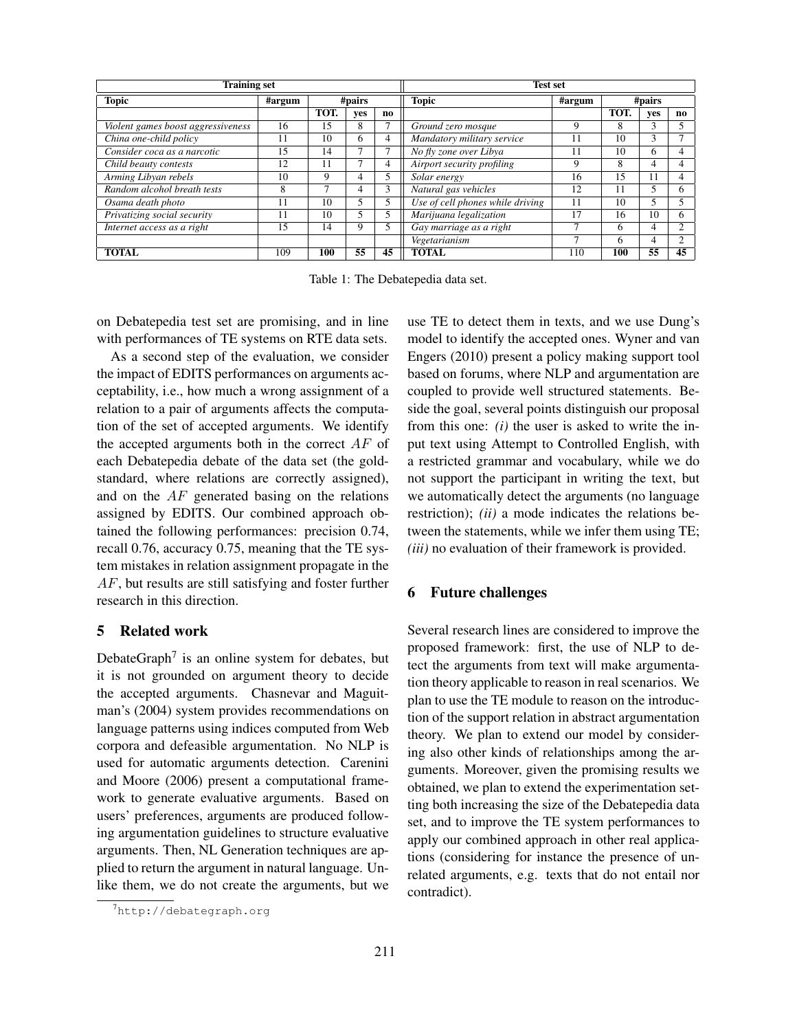| <b>Training set</b>                |        |        |     |                | <b>Test set</b>                  |                     |        |     |     |
|------------------------------------|--------|--------|-----|----------------|----------------------------------|---------------------|--------|-----|-----|
| <b>Topic</b>                       | #argum | #pairs |     |                | <b>Topic</b>                     | $\frac{1}{4}$ argum | #pairs |     |     |
|                                    |        | TOT.   | ves | no             |                                  |                     | TOT.   | ves | no. |
| Violent games boost aggressiveness | 16     | 15     | 8   | ┑              | Ground zero mosque               | 9                   | 8      | 3   |     |
| China one-child policy             | 11     | 10     | 6   | $\overline{4}$ | Mandatory military service       | 11                  | 10     | 3   |     |
| Consider coca as a narcotic        | 15     | 14     |     |                | No fly zone over Libya           | 11                  | 10     | 6   | 4   |
| Child beauty contests              | 12     | 11     | -   | 4              | Airport security profiling       | 9                   | 8      | 4   |     |
| Arming Libyan rebels               | 10     | Q      | 4   | 5              | Solar energy                     | 16                  | 15     | 11  |     |
| Random alcohol breath tests        | 8      |        | 4   | 3              | Natural gas vehicles             | 12                  | 11     | 5   | h.  |
| Osama death photo                  |        | 10     |     | 5              | Use of cell phones while driving | 11                  | 10     | 5   |     |
| Privatizing social security        | 11     | 10     |     | 5              | Marijuana legalization           | 17                  | 16     | 10  | 6   |
| Internet access as a right         | 15     | 14     | 9   | 5              | Gay marriage as a right          | −                   | 6      | 4   | ◠   |
|                                    |        |        |     |                | Vegetarianism                    | ⇁                   | 6      | 4   | ◠   |
| <b>TOTAL</b>                       | 109    | 100    | 55  | 45             | <b>TOTAL</b>                     | 110                 | 100    | 55  | 45  |

Table 1: The Debatepedia data set.

on Debatepedia test set are promising, and in line with performances of TE systems on RTE data sets.

As a second step of the evaluation, we consider the impact of EDITS performances on arguments acceptability, i.e., how much a wrong assignment of a relation to a pair of arguments affects the computation of the set of accepted arguments. We identify the accepted arguments both in the correct  $AF$  of each Debatepedia debate of the data set (the goldstandard, where relations are correctly assigned), and on the AF generated basing on the relations assigned by EDITS. Our combined approach obtained the following performances: precision 0.74, recall 0.76, accuracy 0.75, meaning that the TE system mistakes in relation assignment propagate in the AF, but results are still satisfying and foster further research in this direction.

# 5 Related work

DebateGraph<sup>7</sup> is an online system for debates, but it is not grounded on argument theory to decide the accepted arguments. Chasnevar and Maguitman's (2004) system provides recommendations on language patterns using indices computed from Web corpora and defeasible argumentation. No NLP is used for automatic arguments detection. Carenini and Moore (2006) present a computational framework to generate evaluative arguments. Based on users' preferences, arguments are produced following argumentation guidelines to structure evaluative arguments. Then, NL Generation techniques are applied to return the argument in natural language. Unlike them, we do not create the arguments, but we use TE to detect them in texts, and we use Dung's model to identify the accepted ones. Wyner and van Engers (2010) present a policy making support tool based on forums, where NLP and argumentation are coupled to provide well structured statements. Beside the goal, several points distinguish our proposal from this one: *(i)* the user is asked to write the input text using Attempt to Controlled English, with a restricted grammar and vocabulary, while we do not support the participant in writing the text, but we automatically detect the arguments (no language restriction); *(ii)* a mode indicates the relations between the statements, while we infer them using TE; *(iii)* no evaluation of their framework is provided.

# 6 Future challenges

Several research lines are considered to improve the proposed framework: first, the use of NLP to detect the arguments from text will make argumentation theory applicable to reason in real scenarios. We plan to use the TE module to reason on the introduction of the support relation in abstract argumentation theory. We plan to extend our model by considering also other kinds of relationships among the arguments. Moreover, given the promising results we obtained, we plan to extend the experimentation setting both increasing the size of the Debatepedia data set, and to improve the TE system performances to apply our combined approach in other real applications (considering for instance the presence of unrelated arguments, e.g. texts that do not entail nor contradict).

<sup>7</sup>http://debategraph.org